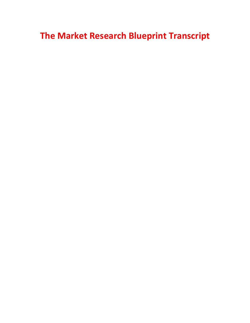## **The Market Research Blueprint Transcript**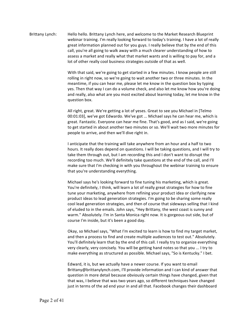## Brittany Lynch: Hello hello. Brittany Lynch here, and welcome to the Market Research Blueprint webinar training. I'm really looking forward to today's training. I have a lot of really great information planned out for you guys. I really believe that by the end of this call, you're all going to walk away with a much clearer understanding of how to assess a market and really what that market wants and is willing to pay for, and a lot of other really cool business strategies outside of that as well.

With that said, we're going to get started in a few minutes. I know people are still rolling in right now, so we're going to wait another two or three minutes. In the meantime, if you can hear me, please let me know in the question box by typing yes. Then that way I can do a volume check, and also let me know how you're doing and really, also what are you most excited about learning today, let me know in the question box.

All right, great. We're getting a lot of yeses. Great to see you Michael in [Telmo] 00:01:03], we've got Edwardo. We've got ... Michael says he can hear me, which is great. Fantastic. Everyone can hear me fine. That's good, and as I said, we're going to get started in about another two minutes or so. We'll wait two more minutes for people to arrive, and then we'll dive right in.

I anticipate that the training will take anywhere from an hour and a half to two hours. It really does depend on questions. I will be taking questions, and I will try to take them through out, but I am recording this and I don't want to disrupt the recording too much. We'll definitely take questions at the end of the call, and I'll make sure that I'm checking in with you throughout the webinar training to ensure that you're understanding everything.

Michael says he's looking forward to fine tuning his marketing, which is great. You're definitely, I think, will learn a lot of really great strategies for how to fine tune your marketing, anywhere from refining your product idea or clarifying new product ideas to lead generation strategies. I'm going to be sharing some really cool lead generation strategies, and then of course that sideways selling that I kind of eluded to in the emails. John says, "Hey Brittany, the west coast is sunny and warm." Absolutely. I'm in Santa Monica right now. It is gorgeous out side, but of course I'm inside, but it's been a good day.

Okay, so Michael says, "What I'm excited to learn is how to find my target market, and then a process to find and create multiple audiences to test out." Absolutely. You'll definitely learn that by the end of this call. I really try to organize everything very clearly, very concisely. You will be getting hand notes so that you ... I try to make everything as structured as possible. Michael says, "So is Kentucky." I bet.

Edward, it is, but we actually have a newer course. If you want to email Brittany@brittanylynch.com, I'll provide information and I can kind of answer that question in more detail because obviously certain things have changed, given that that was, I believe that was two years ago, so different techniques have changed just in terms of the ad end your in and all that. Facebook changes their dashboard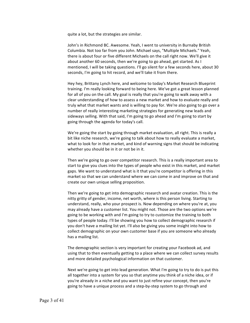quite a lot, but the strategies are similar.

John's in Richmond BC. Awesome. Yeah, I went to university in Burnaby British Columbia. Not too far from you John. Michael says, "Multiple Michaels." Yeah, there is about four or five different Michaels on the call right now. We'll give it about another 60 seconds, then we're going to go ahead, get started. As I mentioned, I will be taking questions. I'll go silent for a few seconds here, about 30 seconds, I'm going to hit record, and we'll take it from there.

Hey hey, Brittany Lynch here, and welcome to today's Market Research Blueprint training. I'm really looking forward to being here. We've got a great lesson planned for all of you on the call. My goal is really that you're going to walk away with a clear understanding of how to assess a new market and how to evaluate really and truly what that market wants and is willing to pay for. We're also going to go over a number of really interesting marketing strategies for generating new leads and sideways selling. With that said, I'm going to go ahead and I'm going to start by going through the agenda for today's call.

We're going the start by going through market evaluation, all right. This is really a bit like niche research, we're going to talk about how to really evaluate a market, what to look for in that market, and kind of warning signs that should be indicating whether you should be in it or not be in it.

Then we're going to go over competitor research. This is a really important area to start to give you clues into the types of people who exist in this market, and market gaps. We want to understand what is it that you're competitor is offering in this market so that we can understand where we can come in and improve on that and create our own unique selling proposition.

Then we're going to get into demographic research and avatar creation. This is the nitty gritty of gender, income, net worth, where is this person living. Starting to understand, really, who your prospect is. Now depending on where you're at, you may already have a customer list. You might not. Those are the two options we're going to be working with and I'm going to try to customize the training to both types of people today. I'll be showing you how to collect demographic research if you don't have a mailing list yet. I'll also be giving you some insight into how to collect demographic on your own customer base if you are someone who already has a mailing list.

The demographic section is very important for creating your Facebook ad, and using that to then eventually getting to a place where we can collect survey results and more detailed psychological information on that customer.

Next we're going to get into lead generation. What I'm going to try to do is put this all together into a system for you so that anytime you think of a niche idea, or if you're already in a niche and you want to just refine your concept, then you're going to have a unique process and a step-by-step system to go through and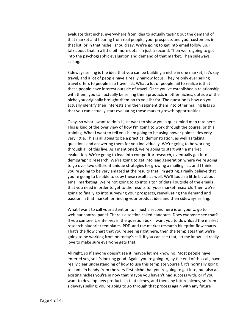evaluate that niche, everywhere from idea to actually testing out the demand of that market and hearing from real people, your prospects and your customers in that list, or in that niche I should say. We're going to get into email follow up. I'll talk about that in a little bit more detail in just a second. Then we're going to get into the psychographic evaluation and demand of that market. Then sideways selling.

Sideways selling is the idea that you can be building a niche in one market, let's say travel, and a lot of people have a really narrow focus. They're only ever selling travel offers to people in a travel list. What a lot of people fail to realize is that these people have interest outside of travel. Once you've established a relationship with them, you can actually be selling them products in other niches, outside of the niche you originally brought them on to you list for. The question is how do you actually identify their interests and then segment them into other mailing lists so that you can actually start evaluating those market growth opportunities.

Okay, so what I want to do is I just want to show you a quick mind map rate here. This is kind of the over view of how I'm going to work through the course, or this training. What I want to tell you is I'm going to be using power point slides very very little. This is all going to be a practical demonstration, as well as taking questions and answering them for you individually. We're going to be working through all of this live. As I mentioned, we're going to start with a market evaluation. We're going to lead into competitor research, eventually get into demographic research. We're going to get into lead generation where we're going to go over two different unique strategies for growing a mailing list, and I think you're going to be very amazed at the results that I'm getting. I really believe that you're going to be able to copy these results as well. We'll touch a little bit about email marketing. We're not going to go into a ton of detail outside of the emails that you need in order to get to the results for your market research. Then we're going to finally go into surveying your prospects, reevaluating the demand and passion in that market, or finding your product idea and then sideways selling.

What I want to call your attention to in just a second here is on your ... go to webinar control panel. There's a section called handouts. Does everyone see that? If you can see it, enter yes in the question box. I want you to download the market research blueprint templates, PDF, and the market research blueprint flow charts. That's the flow chart that you're seeing right here, then the templates that we're going to be working from on today's call. If you can see that, let me know. I'd really love to make sure everyone gets that.

All right, so if anyone doesn't see it, maybe let me know no. Most people have entered yes, so it's looking good. Again, you're going to, by the end of this call, have really clear understanding of how to use this template yourself. It's normally going to come in handy from the very first niche that you're going to get into, but also an existing niches you're in now that maybe you haven't had success with, or if you want to develop new products in that niches, and then any future niches, so from sideways selling, you're going to go through that process again with any future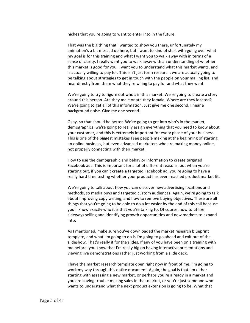niches that you're going to want to enter into in the future.

That was the big thing that I wanted to show you there, unfortunately my animation's a bit messed up here, but I want to kind of start with going over what my goal is for this training and what I want you to walk away with in terms of a sense of clarity. I really want you to walk away with an understanding of whether this market is good for you. I want you to understand what this market wants, and is actually willing to pay for. This isn't just form research, we are actually going to be talking about strategies to get in touch with the people on your mailing list, and hear directly from them what they're wiling to pay for and what they want.

We're going to try to figure out who's in this market. We're going to create a story around this person. Are they male or are they female. Where are they located? We're going to get all of this information. Just give me one second, I hear a background noise. Give me one second.

Okay, so that should be better. We're going to get into who's in the market, demographics, we're going to really assign everything that you need to know about your customer, and this is extremely important for every phase of your business. This is one of the biggest mistakes I see people making at the beginning of starting an online business, but even advanced marketers who are making money online, not properly connecting with their market.

How to use the demographic and behavior information to create targeted Facebook ads. This is important for a lot of different reasons, but when you're starting out, if you can't create a targeted Facebook ad, you're going to have a really hard time testing whether your product has even reached product market fit.

We're going to talk about how you can discover new advertising locations and methods, so media buys and targeted custom audiences. Again, we're going to talk about improving copy writing, and how to remove buying objectives. These are all things that you're going to be able to do a lot easier by the end of this call because you'll know exactly who it is that you're talking to. Of course, how to utilize sideways selling and identifying growth opportunities and new markets to expand into.

As I mentioned, make sure you've downloaded the market research blueprint template, and what I'm going to do is I'm going to go ahead and exit out of the slideshow. That's really it for the slides. If any of you have been on a training with me before, you know that I'm really big on having interactive presentations and viewing live demonstrations rather just working from a slide deck.

I have the market research template open right now in front of me. I'm going to work my way through this entire document. Again, the goal is that I'm either starting with assessing a new market, or perhaps you're already in a market and you are having trouble making sales in that market, or you're just someone who wants to understand what the next product extension is going to be. What that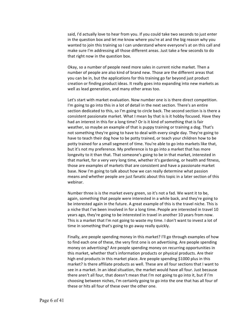said, I'd actually love to hear from you. If you could take two seconds to just enter in the question box and let me know where you're at and the big reason why you wanted to join this training so I can understand where everyone's at on this call and make sure I'm addressing all those different areas. Just take a few seconds to do that right now in the question box.

Okay, so a number of people need more sales in current niche market. Then a number of people are also kind of brand new. Those are the different areas that you can be in, but the applications for this training go far beyond just product creation or finding product ideas. It really goes into expanding into new markets as well as lead generation, and many other areas too.

Let's start with market evaluation. Now number one is is there direct competition. I'm going to go into this in a lot of detail in the next section. There's an entire section dedicated to this, so I'm going to circle back. The second section is is there a consistent passionate market. What I mean by that is is it hobby focused. Have they had an interest in this for a long time? Or is it kind of something that is fair weather, so maybe an example of that is puppy training or training a dog. That's not something they're going to have to deal with every single day. They're going to have to teach their dog how to be potty trained, or teach your children how to be potty trained for a small segment of time. You're able to go into markets like that, but it's not my preference. My preference is to go into a market that has more longevity to it than that. That someone's going to be in that market, interested in that market, for a very very long time, whether it's gardening, or health and fitness, those are examples of markets that are consistent and have a passionate market base. Now I'm going to talk about how we can really determine what passion means and whether people are just fanatic about this topic in a later section of this webinar.

Number three is is the market every green, so it's not a fad. We want it to be, again, something that people were interested in a while back, and they're going to be interested again in the future. A great example of this is the travel niche. This is a niche that I've been involved in for a long time. People are interested in travel 10 years ago, they're going to be interested in travel in another 10 years from now. This is a market that I'm not going to waste my time. I don't want to invest a lot of time in something that's going to go away really quickly.

Finally, are people spending money in this market? I'll go through examples of how to find each one of these, the very first one is on advertising. Are people spending money on advertising? Are people spending money on recurring opportunities in this market, whether that's information products or physical products. Are their high end products in this market place. Are people spending \$1000 plus in this market? Is there affiliate products as well. These are all four sections that I want to see in a market. In an ideal situation, the market would have all four. Just because there aren't all four, that doesn't mean that I'm not going to go into it, but if I'm choosing between niches, I'm certainly going to go into the one that has all four of these or hits all four of these over the other one.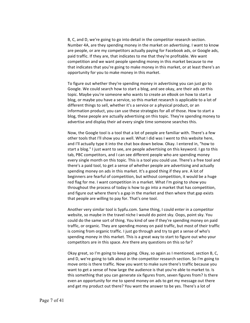B, C, and D, we're going to go into detail in the competitor research section. Number 4A, are they spending money in the market on advertising. I want to know are people, or are my competitors actually paying for Facebook ads, or Google ads, paid traffic. If they are, that indicates to me that they're profitable. We want competition and we want people spending money in this market because to me that indicates that you're going to make money in this market, or at least there's an opportunity for you to make money in this market.

To figure out whether they're spending money in advertising you can just go to Google. We could search how to start a blog, and see okay, are their ads on this topic. Maybe you're someone who wants to create an eBook on how to start a blog, or maybe you have a service, so this market research is applicable to a lot of different things to sell, whether it's a service or a physical product, or an information product, you can use these strategies for all of those. How to start a blog, these people are actually advertising on this topic. They're spending money to advertise and display their ad every single time someone searches this.

Now, the Google tool is a tool that a lot of people are familiar with. There's a few other tools that I'll show you as well. What I did was I went to this website here, and I'll actually type it into the chat box down below. Okay. I entered in, "how to start a blog." I just want to see, are people advertising on this keyword. I go to this tab, PBC competitors, and I can see different people who are spending money every single month on this topic. This is a tool you could use. There's a free tool and there's a paid tool, to get a sense of whether people are advertising and actually spending money on ads in this market. It's a good thing if they are. A lot of beginners are fearful of competition, but without competition, it would be a huge red flag for me. I want competition in a market. What I'm going to show you throughout the process of today is how to go into a market that has competition, and figure out where there's a gap in the market and then where that gap exists that people are willing to pay for. That's one tool.

Another very similar tool is Sypfu.com. Same thing, I could enter in a competitor website, so maybe in the travel niche I would do point sky. Oops, point sky. You could do the same sort of thing. You kind of see if they're spending money on paid traffic, or organic. They are spending money on paid traffic, but most of their traffic is coming from organic traffic. I just go through and try to get a sense of who's spending money in this market. This is a great way to start to figure out who your competitors are in this space. Are there any questions on this so far?

Okay great, so I'm going to keep going. Okay, so again as I mentioned, section B, C, and D, we're going to talk about in the competitor research section. So I'm going to move onto is there traffic. Now you want to make sure there's traffic because you want to get a sense of how large the audience is that you're able to market to. Is this something that you can generate six figures from, seven figures from? Is there even an opportunity for me to spend money on ads to get my message out there and get my product out there? You want the answer to be yes. There's a lot of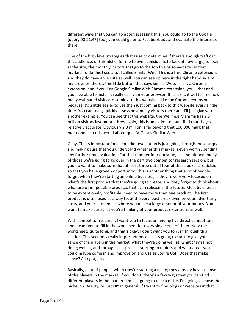different ways that you can go about assessing this. You could go to the Google [query 00:21:47] tool, you could go onto Facebook ads and evaluate the interest on there.

One of the high level strategies that I use to determine if there's enough traffic in this audience, or this niche, for me to even consider is to look at how large, to look at the size, the monthly visitors that go to the top five or so websites in that market. To do this I use a tool called Similar Web. This is a free Chrome extension, and they do have a website as well. You can see up here in the right hand side of my browser, there's this little button that says Similar Web. This is a Chrome extension, and if you just Google Similar Web Chrome extension, you'll that and you'll be able to install it really easily on your browser. If I click it, it will tell me how many estimated visits are coming to this website. I like the Chrome extension because it's a little easier to use than just coming back to this website every single time. You can really quickly assess how many visitors there are. I'll just give you another example. You can see that this website, the Wellness Mamma has 2.3 million visitors last month. Now again, this is an estimate, but I find that they're relatively accurate. Obviously 2.3 million is far beyond that 100,000 mark that I mentioned, so this would about qualify. That's Similar Web.

Okay. That's important for the market evaluation is just going through these steps and making sure that you understand whether this market is even worth spending any further time evaluating. For that number four question, as I mentioned, many of those we're going to go over in the part two competitor research section, but you do want to make sure that at least three out of four of those boxes are ticked so that you have growth opportunity. This is another thing that a lot of people forget when they're starting an online business, is they're very very focused on what's the first product that they're going to create, and they forget to think about what are other possible products that I can release in the future. Most businesses, to be exceptionally profitable, need to have more than one product. The first product is often used as a way to, at the very least break even on your advertising costs, and your back end is where you make a large amount of your money. You want to make sure that you're thinking of your product extensions as well.

With competitor research, I want you to focus on finding five direct competitors, and I want you to fill in the worksheet for every single one of them. Now the worksheets quite long, and that's okay, I don't want you to rush through this section. This section's really important because it's going to start to give you a sense of the players in the market, what they're doing well at, what they're not doing well at, and through that process starting to understand what areas you could maybe come in and improve on and use as you're USP. Does that make sense? All right, great.

Basically, a lot of people, when they're starting a niche, they already have a sense of the players in the market. If you don't, there's a few ways that you can find different players in the market. I'm just going to take a niche, I'm going to chose the niche DIY Beauty, or just DIY in general. If I want to find blogs or websites in that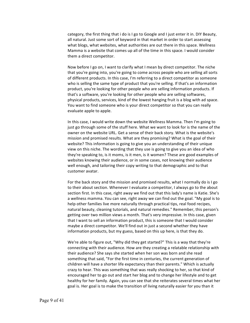category, the first thing that i do is I go to Google and I just enter it in. DIY Beauty, all natural. Just some sort of keyword in that market in order to start assessing what blogs, what websites, what authorities are out there in this space. Wellness Mamma is a website that comes up all of the time in this space. I would consider them a direct competitor.

Now before I go on, I want to clarify what I mean by direct competitor. The niche that you're going into, you're going to come across people who are selling all sorts of different products. In this case, I'm referring to a direct competitor as someone who is selling the same type of product that you're selling. If that's an information product, you're looking for other people who are selling information products. If that's a software, you're looking for other people who are selling softwares, physical products, services, kind of the lowest hanging fruit is a blog with ad space. You want to find someone who is your direct competitor so that you can really evaluate apple to apple.

In this case, I would write down the website Wellness Mamma. Then I'm going to just go through some of the stuff here. What we want to look for is the name of the owner on the website URL. Get a sense of their back story. What is the website's mission and promised results. What are they promising? What is the goal of their website? This information is going to give you an understanding of their unique view on this niche. The wording that they use is going to give you an idea of who they're speaking to, is it moms, is it men, is it women? These are good examples of websites knowing their audience, or in some cases, not knowing their audience well enough, and tailoring their copy writing to that demographic and to that customer avatar.

For the back story and the mission and promised results, what I normally do is I go to their about section. Whenever I evaluate a competitor, I always go to the about section first. In this case, right away we find out that this lady's name is Katie. She's a wellness mamma. You can see, right away we can find out the goal. "My goal is to help other families live more naturally through practical tips, real food recipes, natural beauty, cleaning tutorials, and natural remedies." Remember, this person's getting over two million views a month. That's very impressive. In this case, given that I want to sell an information product, this is someone that I would consider maybe a direct competitor. We'll find out in just a second whether they have information products, but my guess, based on this up here, is that they do.

We're able to figure out, "Why did they get started?" This is a way that they're connecting with their audience. How are they creating a relatable relationship with their audience? She says she started when her son was born and she read something that said, "For the first time in centuries, the current generation of children will have a shorter life expectancy than their parents." Which is actually crazy to hear. This was something that was really shocking to her, so that kind of encouraged her to go out and start her blog and to change her lifestyle and to get healthy for her family. Again, you can see that she reiterates several times what her goal is. Her goal is to make the transition of living naturally easier for you than it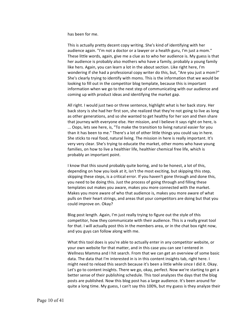has been for me.

This is actually pretty decent copy writing. She's kind of identifying with her audience again. "I'm not a doctor or a lawyer or a health guru, I'm just a mom." These little words, again, give me a clue as to who her audience is. My guess is that her audience is probably also mothers who have a family, probably a young family like hers. Again, you can learn a lot in the about section. Like right here, I'm wondering if she had a professional copy writer do this, but, "Are you just a mom?" She's clearly trying to identify with moms. This is the information that we would be looking to fill out in the competitor blog template, because this is important information when we go to the next step of communicating with our audience and coming up with product ideas and identifying the market gap.

All right. I would just two or three sentence, highlight what is her back story. Her back story is she had her first son, she realized that they're not going to live as long as other generations, and so she wanted to get healthy for her son and then share that journey with everyone else. Her mission, and I believe it says right on here, is ... Oops, lets see here, is, "To make the transition to living natural easier for you than it has been to me." There's a lot of other little things you could say in here. She sticks to real food, natural living. The mission in here is really important. It's very very clear. She's trying to educate the market, other moms who have young families, on how to live a healthier life, healthier chemical free life, which is probably an important point.

I know that this sound probably quite boring, and to be honest, a lot of this, depending on how you look at it, isn't the most exciting, but skipping this step, skipping these steps, is a critical error. If you haven't gone through and done this, you need to be doing this. Just the process of going through and filling these templates out makes you aware, makes you more connected with the market. Makes you more aware of who that audience is, makes you more aware of what pulls on their heart strings, and areas that your competitors are doing but that you could improve on. Okay?

Blog post length. Again, I'm just really trying to figure out the style of this competitor, how they communicate with their audience. This is a really great tool for that. I will actually post this in the members area, or in the chat box right now, and you guys can follow along with me.

What this tool does is you're able to actually enter in any competitor website, or your own website for that matter, and in this case you can see I entered in Wellness Mamma and I hit search. From that we can get an overview of some basic data. The data that I'm interested in is in this content insights tab, right here. I might need to reload this search because it's been a little while since I did it. Okay. Let's go to content insights. There we go, okay, perfect. Now we're starting to get a better sense of their publishing schedule. This tool analyzes the days that the blog posts are published. Now this blog post has a large audience. It's been around for quite a long time. My guess, I can't say this 100%, but my guess is they analyze their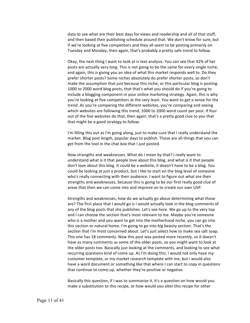data to see what are their best days for views and readership and all of that stuff, and then based their publishing schedule around that. We don't know for sure, but if we're looking at five competitors and they all seem to be posting primarily on Tuesday and Monday, then again, that's probably a pretty safe trend to follow.

Okay, the next thing I want to look at is text analysis. You can see that 42% of her posts are actually very long. This is not going to be the same for every single niche, and again, this is giving you an idea of what this market responds well to. Do they prefer shorter posts? Some niches absolutely do prefer shorter posts, so don't make the assumption that just because this niche, or this particular blog is posting 1000 to 2000 word blog posts, that that's what you should do if you're going to include a blogging component in your online marketing strategy. Again, this is why you're looking at five competitors at the very least. You want to get a sense for the trend. As you're comparing the different websites, you're comparing and seeing which websites are following this trend, 1000 to 2000 word count per post. If four out of the five websites do that, then again, that's a pretty good clue to you that that might be a good strategy to follow.

I'm filling this out as I'm going along, just to make sure that I really understand the market. Blog post length, popular days to publish. Those are all things that you can get from the tool in the chat box that I just posted.

Now strengths and weaknesses. What do I mean by that? I really want to understand what is it that people love about this blog, and what is it that people don't love about this blog. It could be a website, it doesn't have to be a blog. You could be looking at just a product, but I like to start on the blog level of someone who's really connecting with their audience. I want to figure out what are their strengths and weaknesses, because this is going to be our first really good clue of areas that then we can come into and improve on to create our own USP.

Strengths and weaknesses, how do we actually go about determining what those are? The first place that I would go is I would actually look in the blog comments of any of the blog posts that she publishes. Let's see here. We go up to the very top and I can choose the section that's most relevant to me. Maybe you're someone who is a mother and you want to get into the motherhood niche, you can go into this section or natural home. I'm going to go into big beauty section. That's the section that I'm most concerned about. Let's just select how to make sea salt soap. This one has 18 comments. Now this post was posted more recently, so it doesn't have as many comments as some of the older posts, so you might want to look at the older posts too. Basically just looking at the comments, and looking to see what recurring questions kind of come up. As I'm doing this, I would not only have my customer template, or my market research template with me, but I would also have a word document or something like that where I can start to copy in questions that continue to come up, whether they're positive or negative.

Basically this question, if I was to summarize it, it's a question on how would you make a substitution to this recipe, or how would you alter this recipe for other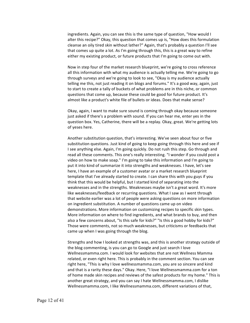ingredients. Again, you can see this is the same type of question, "How would I alter this recipe?" Okay, this question that comes up is, "How does this formulation cleanse an oily tired skin without lather?" Again, that's probably a question I'll see that comes up quite a lot. As I'm going through this, this is a great way to refine either my existing product, or future products that I'm going to come out with.

Now in step four of the market research blueprint, we're going to cross reference all this information with what my audience is actually telling me. We're going to go through surveys and we're going to look to see, "Okay is my audience actually telling me this, not just reading it on blogs and forums." It's a good way, again, just to start to create a tally of buckets of what problems are in this niche, or common questions that come up, because these could be good for future product. It's almost like a product's white file of bullets or ideas. Does that make sense?

Okay, again, I want to make sure sound is coming through okay because someone just asked if there's a problem with sound. If you can hear me, enter yes in the question box. Yes, Catherine, there will be a replay. Okay, great. We're getting lots of yeses here.

Another substitution question, that's interesting. We've seen about four or five substitution questions. Just kind of going to keep going through this here and see if I see anything else. Again, I'm going quickly. Do not rush this step. Go through and read all these comments. This one's really interesting. "I wonder if you could post a video on how to make soap." I'm going to take this information and I'm going to put it into kind of summarize it into strengths and weaknesses. I have, let's see here, I have an example of a customer avatar or a market research blueprint template that I've already started to create. I can share this with you guys if you think that this would be helpful, but I started kind of separating into the weaknesses and in the strengths. Weaknesses maybe isn't a great word. It's more like weaknesses/feedback or recurring questions. What I saw as I went through that website earlier was a lot of people were asking questions on more information on ingredient substitution. A number of questions came up on video demonstrations. More information on customizing recipes to specific skin types. More information on where to find ingredients, and what brands to buy, and then also a few concerns about, "Is this safe for kids?" "Is this a good hobby for kids?" Those were comments, not so much weaknesses, but criticisms or feedbacks that came up when I was going through the blog.

Strengths and how I looked at strengths was, and this is another strategy outside of the blog commenting, is you can go to Google and just search I love Wellnessmamma.com. I would look for websites that are not Wellness Mamma related, or even right here. This is probably in the comment section. You can see right here, "This is why I love wellnessmamma.com, you are so sincere and kind and that is a rarity these days." Okay. Here, "I love Wellnessmamma.com for a ton of home made skin recipes and reviews of the safest products for my home." This is another great strategy, and you can say I hate Wellnessmamma.com, I dislike Wellnessmamma.com, I like Wellnessmamma.com, different variations of that,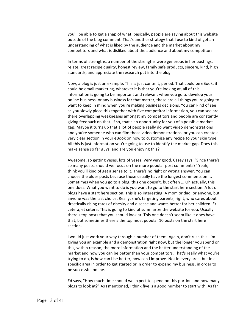you'll be able to get a snap of what, basically, people are saying about this website outside of the blog comment. That's another strategy that I use to kind of get an understanding of what is liked by the audience and the market about my competitors and what is disliked about the audience and about my competitors.

In terms of strengths, a number of the strengths were generous in her postings, relate, great recipe quality, honest review, family safe products, sincere, kind, high standards, and appreciate the research put into the blog.

Now, a blog is just an example. This is just content, period. That could be eBook, it could be email marketing, whatever it is that you're looking at, all of this information is going to be important and relevant when you go to develop your online business, or any business for that matter, these are all things you're going to want to keep in mind when you're making business decisions. You can kind of see as you slowly piece this together with five competitor information, you can see are there overlapping weaknesses amongst my competitors and people are constantly giving feedback on that. If so, that's an opportunity for you of a possible market gap. Maybe it turns up that a lot of people really do want video demonstrations and you're someone who can film those video demonstrations, or you can create a very clear section in your eBook on how to customize any recipe to your skin type. All this is just information you're going to use to identify the market gap. Does this make sense so far guys, and are you enjoying this?

Awesome, so getting yeses, lots of yeses. Very very good. Casey says, "Since there's so many posts, should we focus on the more popular post comments?" Yeah, I think you'll kind of get a sense to it. There's no right or wrong answer. You can choose the older posts because those usually have the longest comments on it. Sometimes when you go to a blog, this one doesn't, but often ... Oh actually, this one does. What you want to do is you want to go to the start here section. A lot of blogs have a start here section. This is so interesting. A mom or dad, or anyone, but anyone was the last choice. Really, she's targeting parents, right, who cares about drastically rising rates of obesity and disease and wants better for her children. Et cetera, et cetera. This is going to kind of summarize the website for you. Usually there's top posts that you should look at. This one doesn't seem like it does have that, but sometimes there's the top most popular 10 posts on the start here section.

I would just work your way through a number of them. Again, don't rush this. I'm giving you an example and a demonstration right now, but the longer you spend on this, within reason, the more information and the better understanding of the market and how you can be better than your competitors. That's really what you're trying to do, is how can I be better, how can I improve. Not in every area, but in a specific area in order to get started or in order to expand my business, in order to be successful online.

Ed says, "How much time should we expect to spend on this portion and how many blogs to look at?" As I mentioned, I think five is a good number to start with. As far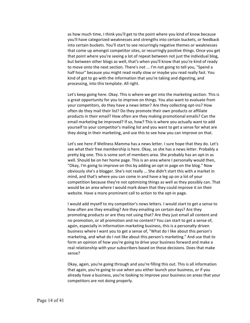as how much time, I think you'll get to the point where you kind of know because you'll have categorized weaknesses and strengths into certain buckets, or feedback into certain buckets. You'll start to see recurringly negative themes or weaknesses that come up amongst competitor sites, or recurringly positive things. Once you get that point where you're seeing a lot of repeat between not just the individual blog, but between other blogs as well, that's when you'll know that you're kind of ready to move onto the next section. There's not ... I'm not going to tell you, "Spend a half hour" because you might read really slow or maybe you read really fast. You kind of got to go with the information that you're taking and digesting, and processing, into this template. All right.

Let's keep going here. Okay. This is where we get into the marketing section. This is a great opportunity for you to improve on things. You also want to evaluate from your competitors, do they have a news letter? Are they collecting opt-ins? How often do they mail their list? Do they promote their own products or affiliate products in their email? How often are they making promotional emails? Can the email marketing be improved? If so, how? This is where you actually want to add yourself to your competitor's mailing list and you want to get a sense for what are they doing in their marketing, and use this to see how you can improve on that.

Let's see here if Wellness Mamma has a news letter. I sure hope that they do. Let's see what their free membership is here. Okay, so she has a news letter. Probably a pretty big one. This is some sort of members area. She probably has an opt-in as well. Should be on her home page. This is an area where I personally would then, "Okay, I'm going to improve on this by adding an opt-in page on the blog." Now obviously she's a blogger. She's not really ... She didn't start this with a market in mind, and that's where you can come in and have a leg up on a lot of your competition because they're not optimizing things as well as they possibly can. That would be an area where I would mark down that they could improve it on their website. Have a more prominent call to action to the opt-in page.

I would add myself to my competitor's news letters. I would start to get a sense to how often are they emailing? Are they emailing on certain days? Are they promoting products or are they not using that? Are they just email all content and no promotion, or all promotion and no content? You can start to get a sense of, again, especially in information marketing business, this is a personalty driven business where I want you to get a sense of, "What do I like about this person's marketing, and what do I not like about this person's marketing." And use that to form an opinion of how you're going to drive your business forward and make a real relationship with your subscribers based on those decisions. Does that make sense?

Okay, again, you're going through and you're filling this out. This is all information that again, you're going to use when you either launch your business, or if you already have a business, you're looking to improve your business on areas that your competitors are not doing properly.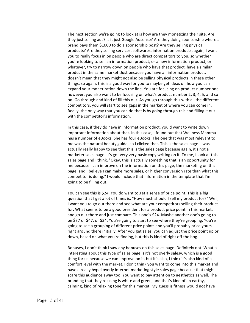The next section we're going to look at is how are they monetizing their site. Are they just selling ads? Is it just Google Adsense? Are they doing sponsorship where a brand pays them \$1000 to do a sponsorship post? Are they selling physical products? Are they selling services, softwares, information products, again, I want you to really focus in on people who are direct competitors to you, so whether you're looking to sell an information product, or a new information product, or whatever, try to narrow down on people who have that product, have a similar product in the same market. Just because you have an information product, doesn't mean that they might not also be selling physical products in these other things, so again, this is a good way for you to maybe get ideas on how you can expand your monetization down the line. You are focusing on product number one, however, you also want to be focusing on what's product number 2, 3, 4, 5, and so on. Go through and kind of fill this out. As you go through this with all the different competitors, you will start to see gaps in the market of where you can come in. Really, the only way that you can do that is by going through this and filling it out with the competitor's information.

In this case, if they do have in information product, you'd want to write down important information about that. In this case, I found out that Wellness Mamma has a number of eBooks. She has four eBooks. The one that was most relevant to me was the natural beauty guide, so I clicked that. This is the sales page. I was actually really happy to see that this is the sales page because again, it's not a marketer sales page. It's got very very basic copy writing on it. To me, I look at this sales page and I think, "Okay, this is actually something that is an opportunity for me because I can improve on the information on this page, the marketing on this page, and I believe I can make more sales, or higher conversion rate than what this competitor is doing." I would include that information in the template that I'm going to be filling out.

You can see this is \$24. You do want to get a sense of price point. This is a big question that I get a lot of times is, "How much should I sell my product for?" Well, I want you to go out there and see what are your competitors selling their product for. What seems to be a good president for a product price point in this market, and go out there and just compare. This one's \$24. Maybe another one's going to be \$37 or \$47, or \$34. You're going to start to see where they're grouping. You're going to see a grouping of different price points and you'll probably price yours right around there initially. After you get sales, you can adjust the price point up or down, based on what you're finding, but this is kind of right off the hog.

Bonuses, I don't think I saw any bonuses on this sales page. Definitely not. What is interesting about this type of sales page is it's not overly salesy, which is a good thing for us because we can improve on it, but it's also, I think it's also kind of a comfort level with the market. I don't think you want to come into this market and have a really hypei overly internet marketing style sales page because that might scare this audience away too. You want to pay attention to aesthetics as well. The branding that they're using is white and green, and that's kind of an earthy, calming, kind of relaxing tone for this market. My guess is fitness would not have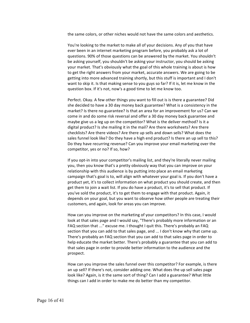the same colors, or other niches would not have the same colors and aesthetics.

You're looking to the market to make all of your decisions. Any of you that have ever been in an internet marketing program before, you probably ask a lot of questions. 90% of those questions can be answered by the market. You shouldn't be asking yourself, you shouldn't be asking your instructor, you should be asking your market. That's obviously what the goal of this whole training is about is how to get the right answers from your market, accurate answers. We are going to be getting into more advanced training shortly, but this stuff is important and I don't want to skip it. Is that making sense to you guys so far? If it is, let me know in the question box. If it's not, now's a good time to let me know too.

Perfect. Okay. A few other things you want to fill out is is there a guarantee? Did she decided to have a 30 day money back guarantee? What is a consistency in the market? Is there no guarantee? Is that an area for an improvement for us? Can we come in and do some risk reversal and offer a 30 day money back guarantee and maybe give us a leg up on the competitor? What is the deliver method? Is it a digital product? Is she mailing it in the mail? Are there worksheets? Are there checklists? Are there videos? Are there up sells and down sells? What does the sales funnel look like? Do they have a high end product? Is there an up sell to this? Do they have recurring revenue? Can you improve your email marketing over the competitor, yes or no? If so, how?

If you opt-in into your competitor's mailing list, and they're literally never mailing you, then you know that's a pretty obviously way that you can improve on your relationship with this audience is by putting into place an email marketing campaign that's goal is to, will align with whatever your goal is. If you don't have a product yet, it's to collect information on what product you should create, and then get them to join a wait list. If you do have a product, it's to sell that product. If you've sold the product, it's to get them to engage with that product. Again, it depends on your goal, but you want to observe how other people are treating their customers, and again, look for areas you can improve.

How can you improve on the marketing of your competitors? In this case, I would look at that sales page and I would say, "There's probably more information or an FAQ section that ..." excuse me. I thought I quit this. There's probably an FAQ section that you can add to that sales page, and ... I don't know why that came up. There's probably an FAQ section that you can add to that sales page in order to help educate the market better. There's probably a guarantee that you can add to that sales page in order to provide better information to the audience and the prospect.

How can you improve the sales funnel over this competitor? For example, is there an up sell? If there's not, consider adding one. What does the up sell sales page look like? Again, is it the same sort of thing? Can I add a guarantee? What little things can I add in order to make me do better than my competitor.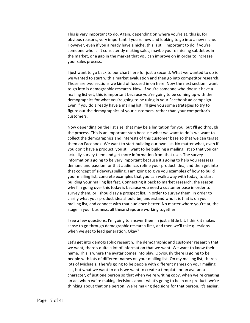This is very important to do. Again, depending on where you're at, this is, for obvious reasons, very important if you're new and looking to go into a new niche. However, even if you already have a niche, this is still important to do if you're someone who isn't consistently making sales, maybe you're missing subtleties in the market, or a gap in the market that you can improve on in order to increase your sales process.

I just want to go back to our chart here for just a second. What we wanted to do is we wanted to start with a market evaluation and then go into competitor research. Those are two sections we kind of focused in on here. Now the next section I want to go into is demographic research. Now, if you're someone who doesn't have a mailing list yet, this is important because you're going to be coming up with the demographics for what you're going to be using in your Facebook ad campaign. Even if you do already have a mailing list, I'll give you some strategies to try to figure out the demographics of your customers, rather than your competitor's customers.

Now depending on the list size, that may be a limitation for you, but I'll go through the process. This is an important step because what we want to do is we want to collect the demographics and interests of this customer base so that we can target them on Facebook. We want to start building our own list. No matter what, even if you don't have a product, you still want to be building a mailing list so that you can actually survey them and get more information from that user. The survey information's going to be very important because it's going to help you reassess demand and passion for that audience, refine your product idea, and then get into that concept of sideways selling. I am going to give you examples of how to build your mailing list, concrete examples that you can walk away with today, to start building your mailing list fast. Connecting it back to market research, the reason why I'm going over this today is because you need a customer base in order to survey them, or I should say a prospect list, in order to survey them, in order to clarify what your product idea should be, understand who it is that is on your mailing list, and connect with that audience better. No matter where you're at, the stage in your business, all these steps are working together.

I see a few questions. I'm going to answer them in just a little bit. I think it makes sense to go through demographic research first, and then we'll take questions when we get to lead generation. Okay?

Let's get into demographic research. The demographic and customer research that we want, there's quite a lot of information that we want. We want to know their name. This is where the avatar comes into play. Obviously there is going to be people with lots of different names on your mailing list. On my mailing list, there's lots of Michaels. There's going to be people with different names on your mailing list, but what we want to do is we want to create a template or an avatar, a character, of just one person so that when we're writing copy, when we're creating an ad, when we're making decisions about what's going to be in our product, we're thinking about that one person. We're making decisions for that person. It's easier,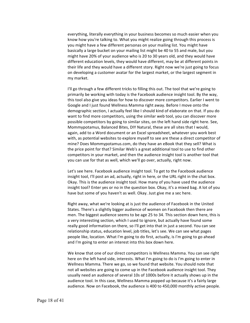everything, literally everything in your business becomes so much easier when you know how you're talking to. What you might realize going through this process is you might have a few different personas on your mailing list. You might have basically a large bucket on your mailing list might be 40 to 55 and male, but you might have 20% of your audience who is 20 to 30 years old, and they would have different education levels, they would have different, may be at different points in their life and they would have a different story. Right now we're just going to focus on developing a customer avatar for the largest market, or the largest segment in my market.

I'll go through a few different tricks to filling this out. The tool that we're going to primarily be working with today is the Facebook audience insight tool. By the way, this tool also give you ideas for how to discover more competitors. Earlier I went to Google and I just found Wellness Mamma right away. Before I move onto the demographic section, I actually feel like I should kind of elaborate on that. If you do want to find more competitors, using the similar web tool, you can discover more possible competitors by going to similar sites, on the left hand side right here. See, Mommypotamus, Balanced Bites, DIY Natural, these are all sites that I would, again, add to a Word document or an Excel spreadsheet, whatever you work best with, as potential websites to explore myself to see are these a direct competitor of mine? Does Mommypotamus.com, do they have an eBook that they sell? What is the price point for that? Similar Web's a great additional tool to use to find other competitors in your market, and then the audience insight tool is another tool that you can use for that as well, which we'll go over, actually, right now.

Let's see here. Facebook audience insight tool. To get to the Facebook audience insight tool, I'll post an ad, actually, right in here, or the URL right in the chat box. Okay. This is the audience insight tool. How many of you have used the audience insight tool? Enter yes or no in the question box. Okay, it's a mixed bag. A lot of you have but some of you haven't as well. Okay. Just give me a sec here.

Right away, what we're looking at is just the audience of Facebook in the United States. There's a slightly bigger audience of women on Facebook then there are men. The biggest audience seems to be age 25 to 34. This section down here, this is a very interesting section, which I used to ignore, but actually have found some really good information on there, so I'll get into that in just a second. You can see relationship status, education level, job titles, let's see. We can see what pages people like, location. What I'm going to do first, actually, is I'm going to go ahead and I'm going to enter an interest into this box down here.

We know that one of our direct competitors is Wellness Mamma. You can see right here on the left hand side, interests. What I'm going to do is I'm going to enter in Wellness Mamma. There we go, so we found that website. You should note that not all websites are going to come up in the Facebook audience insight tool. They usually need an audience of several 10s of 1000s before it actually shows up in the audience tool. In this case, Wellness Mamma popped up because it's a fairly large audience. Now on Facebook, the audience is 400 to 450,000 monthly active people.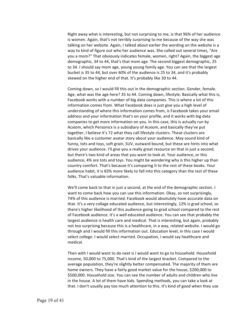Right away what is interesting, but not surprising to me, is that 96% of her audience is women. Again, that's not terribly surprising to me because of the way she was talking on her website. Again, I talked about earlier the wording on the website is a way to kind of figure out who her audience was. She called out several times, "Are you a mom?" That obviously indicates female, women, right? Again, the biggest age demographic, 34 to 44, that's that mom age. The second biggest demographic, 25 to 34. I should say mom age, young young family age. You can see that the largest bucket is 35 to 44, but over 60% of the audience is 25 to 34, and it's probably skewed on the higher end of that. It's probably like 30 to 44.

Coming down, so I would fill this out in the demographic section. Gender, female. Age, what was the age here? 35 to 44. Coming down, lifestyle. Basically what this is, Facebook works with a number of big data companies. This is where a lot of this information comes from. What Facebook does is just give you a high level of understanding of where this information comes from, is Facebook takes your email address and your information that's on your profile, and it works with big data companies to get more information on you. In this case, this is actually run by Acxiom, which Personicx is a subsidiary of Acxiom, and basically they've put together, I believe it's 72 what they call lifestyle clusters. These clusters are basically like a customer avatar story about your audience. May sound kind of funny, tots and toys, soft grain, SUV, outward bound, but these are hints into what drives your audience. I'll give you a really great resource on that in just a second, but there's two kind of areas that you want to look at. Your audience, or this audience, 4% are tots and toys. You might be wondering why is this higher up than country comfort. That's because it's comparing it to the rest of these books. Your audience habit, it is 83% more likely to fall into this category than the rest of these folks. That's valuable information.

We'll come back to that in just a second, at the end of the demographic section. I want to come back how you can use this information. Okay, so not surprisingly, 74% of this audience is married. Facebook would absolutely have accurate data on that. It's a very collage educated audience, but interestingly, 12% is grad school, so there's higher likelihood of this audience going to grad school compared to the rest of Facebook audience. It's a well educated audience. You can see that probably the largest audience is health care and medical. That is interesting, but again, probably not too surprising because this is a healthcare, in a way, related website. I would go through and I would fill this information out. Education level, in this case I would select college. I would select married. Occupation, I would say healthcare and medical.

Then with I would want to do next is I would want to go to household. Household income, 50,000 to 75,000. That's kind of the largest bracket. Compared to the average population, they're slightly better compensated. The majority of them are home owners. They have a fairly good market value for the house, \$200,000 to \$500,000. Household size. You can see the number of adults and children who live in the house. A lot of them have kids. Spending methods, you can take a look at that. I don't usually pay too much attention to this. It's kind of good when they use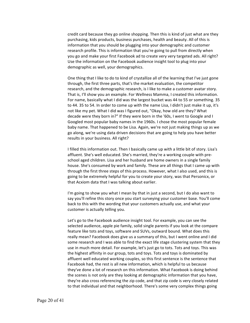credit card because they go online shopping. Then this is kind of just what are they purchasing, kids products, business purchases, health and beauty. All of this is information that you should be plugging into your demographic and customer research profile. This is information that you're going to pull from directly when you go and make your first Facebook ad to create very very targeted ads. All right? Use the information on the Facebook audience insight tool to plug into your demographic as well, your demographics.

One thing that I like to do to kind of crystallize all of the learning that I've just gone through, the first three parts, that's the market evaluation, the competitor research, and the demographic research, is I like to make a customer avatar story. That is, I'll show you an example. For Wellness Mamma, I created this information. For name, basically what I did was the largest bucket was 44 to 55 or something. 35 to 44. 35 to 54. In order to come up with the name Lisa, I didn't just make it up, it's not like my pet. What I did was I figured out, "Okay, how old are they? What decade were they born in?" If they were born in the '60s, I went to Google and I Googled most popular baby names in the 1960s. I chose the most popular female baby name. That happened to be Lisa. Again, we're not just making things up as we go along, we're using data driven decisions that are going to help you have better results in your business. All right?

I filled this information out. Then I basically came up with a little bit of story. Lisa's affluent. She's well educated. She's married, they're a working couple with preschool aged children. Lisa and her husband are home owners in a single family house. She's consumed by work and family. These are all things that I came up with through the first three steps of this process. However, what I also used, and this is going to be extremely helpful for you to create your story, was that Personicx, or that Acxiom data that I was talking about earlier.

I'm going to show you what I mean by that in just a second, but I do also want to say you'll refine this story once you start surveying your customer base. You'll come back to this with the wording that your customers actually use, and what your customer is actually telling you.

Let's go to the Facebook audience insight tool. For example, you can see the selected audience, apple pie family, solid single parents if you look at the compare feature like tots and toys, software and SUVs, outward bound. What does this really mean? Facebook does give us a summary of this, but I went online and I did some research and I was able to find the exact life stage clustering system that they use in much more detail. For example, let's just go to tots. Tots and toys. This was the highest affinity in our group, tots and toys. Tots and toys is dominated by affluent well educated working couples, so this first sentence is the sentence that Facebook had, the rest is all new information, which is helpful to us because they've done a lot of research on this information. What Facebook is doing behind the scenes is not only are they looking at demographic information that you have, they're also cross referencing the zip code, and that zip code is very closely related to that individual and that neighborhood. There's some very complex things going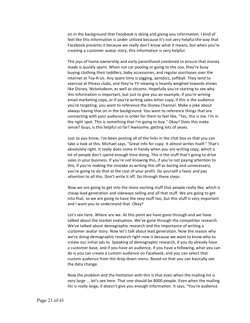on in the background that Facebook is doing and giving you information. I kind of feel like this information is under utilized because it's not very helpful the way that Facebook presents it because we really don't know what it means, but when you're creating a customer avatar story, this information is very helpful.

The joys of home ownership and early parenthood combined to ensure that money made is quickly spent. When not car pooling or going to the zoo, they're busy buying clothing their toddlers, baby accessories, and regular purchases over the internet at Toy-R-Us. Any spare time is jogging, aerobics, softball. They tend to exercise at fitness clubs, and they're TV viewing is heavily weighed towards shows like Disney, Nickelodeon, as well as sitcoms. Hopefully you're starting to see why this information is important, but just to give you an example, if you're writing email marketing copy, or if you're writing sales letter copy, if this is the audience you're targeting, you want to reference the Disney Channel. Make a joke about always having that on in the background. You want to reference things that are connecting with your audience in order for them to feel like, "Yes, this is me. I'm in the right spot. This is something that I'm going to buy." Okay? Does this make sense? Guys, is this helpful so far? Awesome, getting lots of yeses.

Just so you know, I've been posting all of the links in the chat box so that you can take a look at this. Michael says, "Great info for copy. It almost writes itself." That's absolutely right. It really does come in handy when you are writing copy, which a lot of people don't spend enough time doing. This is the stuff that's going to drive sales in your business. If you're not knowing this, if you're not paying attention to this, if you're making the mistake as writing this off as boring and unnecessary, you're going to do that at the cost of your profit. Do yourself a favor and pay attention to all this. Don't write it off. Go through these steps.

Now we are going to get into the more exciting stuff that people really like, which is cheap lead generation and sideways selling and all that stuff. We are going to get into that, so we are going to have the sexy stuff too, but this stuff is very important and I want you to understand that. Okay?

Let's see here. Where are we. At this point we have gone through and we have talked about the market evaluation. We've gone through the competitor research. We've talked about demographic research and the importance of writing a customer avatar story. Now let's talk about lead generation. Now the reason why we're doing demographic research right now is because we want to know who to create our initial ads to. Speaking of demographic research, if you do already have a customer base, and if you have an audience, if you have a following, what you can do is you can create a custom audience on Facebook, and you can select that custom audience from the drop down menu. Based on that you can basically see the data change.

Now the problem and the limitation with this is that even when the mailing list is very large ... let's see here. That one should be 8000 people. Even when the mailing list is really large, it doesn't give you enough information. It says, "You're audience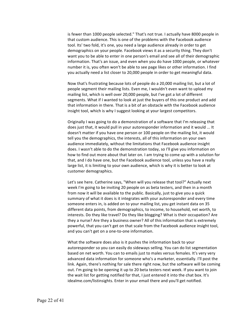is fewer than 1000 people selected." That's not true. I actually have 8000 people in that custom audience. This is one of the problems with the Facebook audience tool. Its' two fold, it's one, you need a large audience already in order to get demographics on your people. Facebook views it as a security thing. They don't want you to be able to enter in one person's email and see all of their demographic information. That's an issue, and even when you do have 1000 people, or whatever number it is, you often won't be able to see page likes or other information. I find you actually need a list closer to 20,000 people in order to get meaningful data.

Now that's frustrating because lots of people do a 20,000 mailing list, but a lot of people segment their mailing lists. Even me, I wouldn't even want to upload my mailing list, which is well over 20,000 people, but I've got a lot of different segments. What if I wanted to look at just the buyers of this one product and add that information in there. That is a bit of an obstacle with the Facebook audience insight tool, which is why I suggest looking at your largest competitors.

Originally I was going to do a demonstration of a software that I'm releasing that does just that, it would pull in your autoresponder information and it would ... It doesn't matter if you have one person or 100 people on the mailing list, it would tell you the demographics, the interests, all of this information on your own audience immediately, without the limitations that Facebook audience insight does. I wasn't able to do the demonstration today, so I'll give you information on how to find out more about that later on. I am trying to come up with a solution for that, and I do have one, but the Facebook audience tool, unless you have a really large list, it is limiting to your own audience, which is why it is better to look at customer demographics.

Let's see here. Catherine says, "When will you release that tool?" Actually next week I'm going to be inviting 20 people on as beta testers, and then in a month from now it will be available to the public. Basically, just to give you a quick summary of what it does is it integrates with your autoresponder and every time someone enters in, is added on to your mailing list, you get instant data on 35 different data points, from demographics, to income, to household, net worth, to interests. Do they like travel? Do they like blogging? What is their occupation? Are they a nurse? Are they a business owner? All of this information that is extremely powerful, that you can't get on that scale from the Facebook audience insight tool, and you can't get on a one-to-one information.

What the software does also is it pushes the information back to your autoresponder so you can easily do sideways selling. You can do list segmentation based on net worth. You can to emails just to males versus females. It's very very advanced data information for someone who's a marketer, essentially. I'll post the link. Again, there's nothing for sale there right now, but the software will be coming out. I'm going to be opening it up to 20 beta testers next week. If you want to join the wait list for getting notified for that, I just entered it into the chat box. It's idealme.com/listinsights. Enter in your email there and you'll get notified.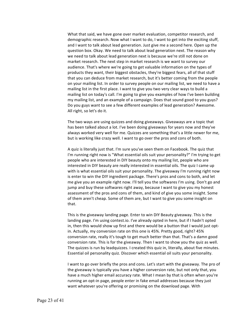What that said, we have gone over market evaluation, competitor research, and demographic research. Now what I want to do, I want to get into the exciting stuff, and I want to talk about lead generation. Just give me a second here. Open up the question box. Okay. We need to talk about lead generation next. The reason why we need to talk about lead generation next is because we're still not done on market research. The next step in market research is we want to survey our audience. That's where we're going to get valuable information on the types of products they want, their biggest obstacles, they're biggest fears, all of that stuff that you can deduce from market research, but it's better coming from the people on your mailing list. In order to survey people on our mailing list, we need to have a mailing list in the first place. I want to give you two very clear ways to build a mailing list on today's call. I'm going to give you examples of how I've been building my mailing list, and an example of a campaign. Does that sound good to you guys? Do you guys want to see a few different examples of lead generation? Awesome. All right, so let's do it.

The two ways are using quizzes and doing giveaways. Giveaways are a topic that has been talked about a lot. I've been doing giveaways for years now and they've always worked very well for me. Quizzes are something that's a little newer for me, but is working like crazy well. I want to go over the pros and cons of both.

A quiz is literally just that. I'm sure you've seen them on Facebook. The quiz that I'm running right now is "What essential oils suit your personality?" I'm trying to get people who are interested in DIY beauty onto my mailing list, people who are interested in DIY beauty are really interested in essential oils. The quiz I came up with is what essential oils suit your personality. The giveaway I'm running right now is enter to win the DIY ingredient package. There's pros and cons to both, and let me give you an example right now. I'll tell you the softwares I'm using. Don't go and jump and buy these softwares right away, because I want to give you my honest assessment of the pros and cons of them, and kind of give you some insight. Some of them aren't cheap. Some of them are, but I want to give you some insight on that.

This is the giveaway landing page. Enter to win DIY Beauty giveaway. This is the landing page. I'm using contest.io. I've already opted in here, but if I hadn't opted in, then this would show up first and there would be a button that I would just optin. Actually, my conversion rate on this one is 45%. Pretty good, right? 45% conversion rate, really it's tough to get much better than that. That's a damn good conversion rate. This is for the giveaway. Then I want to show you the quiz as well. The quizzes is run by leadquizzes. I created this quiz in, literally, about five minutes. Essential oil personality quiz. Discover which essential oil suits your personality.

I want to go over briefly the pros and cons. Let's start with the giveaway. The pro of the giveaway is typically you have a higher conversion rate, but not only that, you have a much higher email accuracy rate. What I mean by that is often when you're running an opt-in page, people enter in fake email addresses because they just want whatever you're offering or promising on the download page. With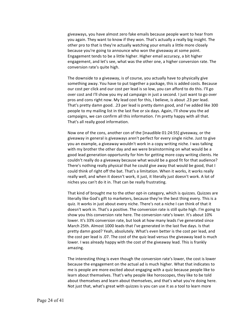giveaways, you have almost zero fake emails because people want to hear from you again. They want to know if they won. That's actually a really big insight. The other pro to that is they're actually watching your emails a little more closely because you're going to announce who won the giveaway at some point. Engagement tends to be a little higher. Higher email accuracy, a bit higher engagement, and let's see, what was the other one, a higher conversion rate. The conversion rate's quite high.

The downside to a giveaway, is of course, you actually have to physically give something away. You have to put together a package, this is added costs. Because our cost per click and our cost per lead is so low, you can afford to do this. I'll go over cost and I'll show you my ad campaign in just a second. I just want to go over pros and cons right now. My lead cost for this, I believe, is about .23 per lead. That's pretty damn good. .23 per lead is pretty damn good, and I've added like 300 people to my mailing list in the last five or six days. Again, I'll show you the ad campaigns, we can confirm all this information. I'm pretty happy with all that. That's all really good information.

Now one of the cons, another con of the [inaudible 01:24:55] giveaway, or the giveaway in general is giveaways aren't perfect for every single niche. Just to give you an example, a giveaway wouldn't work in a copy writing niche. I was talking with my brother the other day and we were brainstorming on what would be a good lead generation opportunity for him for getting more copy writing clients. He couldn't really do a giveaway because what would be a good fit for that audience? There's nothing really physical that he could give away that would be good, that I could think of right off the bat. That's a limitation. When it works, it works really really well, and when it doesn't work, it just, it literally just doesn't work. A lot of niches you can't do it in. That can be really frustrating.

That kind of brought me to the other opt-in category, which is quizzes. Quizzes are literally like God's gift to marketers, because they're the best thing every. This is a quiz. It works in just about every niche. There's not a niche I can think of that it doesn't work in. That's a positive. The conversion rate is still quite high. I'm going to show you this conversion rate here. The conversion rate's lower. It's about 10% lower. It's 33% conversion rate, but look at how many leads I've generated since March 25th. Almost 1000 leads that I've generated in the last five days. Is that pretty damn good? Yeah, absolutely. What's even better is the cost per lead, and the cost per lead is .07. The cost of the quiz lead versus the giveaway lead is much lower. I was already happy with the cost of the giveaway lead. This is frankly amazing.

The interesting thing is even though the conversion rate's lower, the cost is lower because the engagement on the actual ad is much higher. What that indicates to me is people are more excited about engaging with a quiz because people like to learn about themselves. That's why people like horoscopes, they like to be told about themselves and learn about themselves, and that's what you're doing here. Not just that, what's great with quizzes is you can use it as a tool to learn more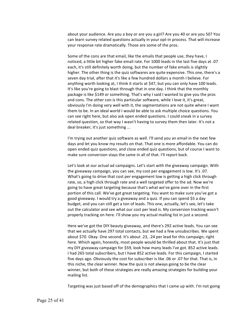about your audience. Are you a boy or are you a girl? Are you 40 or are you 50? You can learn survey related questions actually in your opt-in process. That will increase your response rate dramatically. Those are some of the pros.

Some of the cons are that email, like the emails that people use, they have, I noticed, a little bit higher fake email rate. For 1000 leads in the last five days at .07 each, it's still definitely worth doing, but the number of fake emails is slightly higher. The other thing is the quiz softwares are quite expensive. This one, there's a seven day trial, after that it's like a few hundred dollars a month I believe. For anything worth looking at, I think it starts at \$47, but you can only have 100 leads. It's like you're going to blast through that in one day. I think that the monthly package is like \$149 or something. That's why I said I wanted to give you the pros and cons. The other con is this particular software, while I love it, it's great, obviously I'm doing very well with it, the segmentations are not quite where I want them to be. In an ideal world I would be able to ask multiple choice questions. You can see right here, but also ask open ended questions. I could sneak in a survey related question, so that way I wasn't having to survey them then later. It's not a deal breaker, it's just something ...

I'm trying out another quiz software as well. I'll send you an email in the next few days and let you know my results on that. That one is more affordable. You can do open ended quiz questions, and close ended quiz questions, but of course I want to make sure conversion stays the same in all of that. I'll report back.

Let's look at our actual ad campaigns. Let's start with the giveaway campaign. With the giveaway campaign, you can see, my cost per engagement is low. It's .07. What's going to drive that cost per engagement low is getting a high click through rate, so, a high click through rate and a well targeted offer to the ad. Now we're going to have great targeting because that's what we've gone over in the first portion of this call. We've got great targeting. You want to make sure you've got a good giveaway. I would try a giveaway and a quiz. If you can spend \$5 a day budget, and you can still get a ton of leads. This one, actually, let's see, let's take out the calculator and see what our cost per lead is. My conversion tracking wasn't properly tracking on here. I'll show you my actual mailing list in just a second.

Here we've got the DIY beauty giveaway, and there's 292 active leads. You can see that we actually have 297 total contacts, but we had a few unsubscribes. We spent about \$70. Okay. One second. It's about .23, .24 per lead for this campaign, right here. Which again, honestly, most people would be thrilled about that. It's just that my DIY giveaway campaign for \$59, look how many leads I've got. 852 active leads. I had 265 total subscribers, but I have 852 active leads. For this campaign, I started five days ago. Obviously the cost for subscriber is like .06 or .07 for that. That is, in this niche, the clear winner. Now the quiz is not always going to be the clear winner, but both of these strategies are really amazing strategies for building your mailing list.

Targeting was just based off of the demographics that I came up with. I'm not going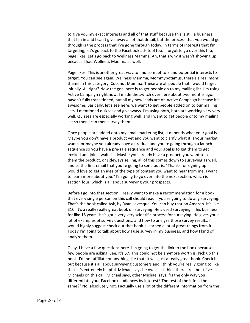to give you my exact interests and all of that stuff because this is still a business that I'm in and I can't give away all of that detail, but the process that you would go through is the process that I've gone through today. In terms of interests that I'm targeting, let's go back to the Facebook ads tool too. I forgot to go over this tab, page likes. Let's go back to Wellness Mamma. Ah, that's why it wasn't showing up, because I had Wellness Mamma as well.

Page likes. This is another great way to find competitors and potential interests to target. You can see again, Wellness Mamma, Mommypotamus, there's a real mom theme in this category, Coconut Mamma. These are all people that I would target initially. All right? Now the goal here is to get people on to my mailing list. I'm using Active Campaign right now. I made the switch over here about two months ago. I haven't fully transitioned, but all my new leads are on Active Campaign because it's awesome. Basically, let's see here, we want to get people added on to our mailing lists. I mentioned quizzes and giveaways. I'm using both, both are working very very well. Quizzes are especially working well, and I want to get people onto my mailing list so then I can then survey them.

Once people are added onto my email marketing list, it depends what your goal is. Maybe you don't have a product yet and you want to clarify what it is your market wants, or maybe you already have a product and you're going through a launch sequence so you have a pre-sale sequence and your goal is to get them to get excited and join a wait list. Maybe you already have a product, you want to sell them the product, or sideways selling, all of this comes down to surveying as well, and so the first email that you're going to send out is, "Thanks for signing up. I would love to get an idea of the type of content you want to hear from me. I want to learn more about you." I'm going to go over into the next section, which is section four, which is all about surveying your prospects.

Before I go into that section, I really want to make a recommendation for a book that every single person on this call should read if you're going to do any surveying. That's the book called Ask, by Ryan Levesque. You can buy that on Amazon. It's like \$10. It's a really really great book on surveying. He's used surveying in his business for like 15 years. He's got a very very scientific process for surveying. He gives you a lot of examples of survey questions, and how to analyze those survey results. I would highly suggest check out that book. I learned a lot of great things from it. Today I'm going to talk about how I use survey in my business, and how I kind of analyze them.

Okay, I have a few questions here. I'm going to get the link to the book because a few people are asking. See, it's \$7. This could not be anymore worth is. Pick up this book. I'm not affiliate or anything like that. It was just a really great book. Check it out because it's all about surveying customers and I think you're really going to like that. It's extremely helpful. Michael says he owns it. I think there are about five Michaels on this call. Michael says, other Michael says, "Is the only way you differentiate your Facebook audiences by interest? The rest of the info is the same?" No, absolutely not. I actually use a lot of the different information from the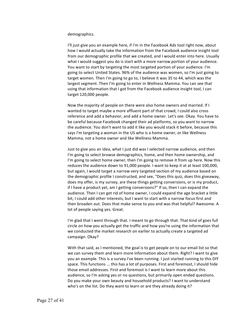## demographics.

I'll just give you an example here, if I'm in the Facebook Ads tool right now, about how I would actually take the information from the Facebook audience insight tool from our demographic profile that we created, and I would enter into here. Usually what I would suggest you do is start with a more narrow portion of your audience. You want to start by targeting the most targeted portion of your audience. I'm going to select United States. 96% of the audience was women, so I'm just going to target women. Then I'm going to go to, I believe it was 35 to 44, which was the largest segment. Then I'm going to enter in Wellness Mamma. You can see that using that information that I got from the Facebook audience insight tool, I can target 120,000 people.

Now the majority of people on there were also home owners and married. If I wanted to target maybe a more affluent part of that crowd, I could also cross reference and add a behavior, and add a home owner. Let's see. Okay. You have to be careful because Facebook changed their ad platforms, so you want to narrow the audience. You don't want to add it like you would stack it before, because this says I'm targeting a woman in the US who is a home owner, or like Wellness Mamma, not a home owner and like Wellness Mamma.

Just to give you an idea, what I just did was I selected narrow audience, and then I'm going to select browse demographics, home, and then home ownership, and I'm going to select home owner, then I'm going to remove it from up here. Now this reduces the audience down to 91,000 people. I want to keep it at at least 100,000, but again, I would target a narrow very targeted section of my audience based on the demographic profile I constructed, and see, "Does this quiz, does this giveaway, does my offer, is my survey, are these things getting conversions, or is my product, if I have a product yet, am I getting conversions?" If so, then I can expand the audience. Then I can get rid of home owner, I could expand the age bracket a little bit, I could add other interests, but I want to start with a narrow focus first and then broaden out. Does that make sense to you and was that helpful? Awesome. A lot of people saying yes. Great.

I'm glad that I went through that. I meant to go through that. That kind of goes full circle on how you actually get the traffic and how you're using the information that we conducted the market research on earlier to actually create a targeted ad campaign. Okay?

With that said, as I mentioned, the goal is to get people on to our email list so that we can survey them and learn more information about them. Right? I want to give you an example. This is a survey I've been running. I just started running to this DIY space. This functions ... this has a lot of purposes. First and foremost, I should hide those email addresses. First and foremost is I want to learn more about this audience, so I'm asking yes or no questions, but primarily open ended questions. Do you make your own beauty and household products? I want to understand who's on the list. Do they want to learn or are they already doing it?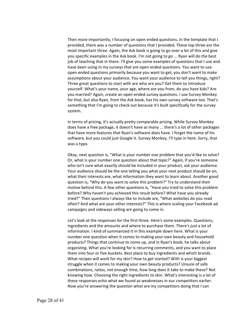Then more importantly, I focusing on open ended questions. In the template that I provided, there was a number of questions that I provided. These top three are the most important three. Again, the Ask book is going to go over a lot of this and give you specific examples in the Ask book. I'm not going to go ... Ryan will do the best job of teaching that in there. I'll give you some examples of questions that I use and have been using in my surveys that are open ended questions. You want to use open ended questions primarily because you want to get, you don't want to make assumptions about your audience. You want your audience to tell you things, right? Three great questions to start with are who are you? Get them to introduce yourself. What's your name, your age, where are you from, do you have kids? Are you married? Again, create an open ended survey questions. I use Survey Monkey for that, but also Ryan, from the Ask book, has his own survey software too. That's something that I'm going to check out because it's built specifically for the survey system.

In terms of pricing, it's actually pretty comparable pricing. While Survey Monkey does have a free package, it doesn't have as many ... there's a lot of other packages that have more features that Ryan's software does have. I forget the name of his software, but you could just Google it. Survey Monkey, I'll type in here. Sorry, that was a typo.

Okay, next question is, "What is your number one problem that you'd like to solve? Or, what is your number one question about that topic?" Again, if you're someone who isn't sure what exactly should be included in your product, ask your audience. Your audience should be the one telling you what your next product should be on, what their interests are, what information they want to learn about. Another good question is, "Why do you want to solve this problem?" Try to understand their motive behind this. A few other questions is, "Have you tried to solve this problem before? Why haven't you achieved this result before? What have you already tried?" Then questions I always like to include are, "What websites do you read often? And what are your other interests?" This is where scaling your Facebook ad campaigns and sideways selling are going to come in.

Let's look at the responses for the first three. Here's some examples. Questions, ingredients and the amounts and where to purchase them. There's just a lot of information. I kind of summarized it in this example down here. What is your number one question when it comes to making your own beauty and household products? Things that continue to come up, and in Ryan's book, he talks about organizing. What you're looking for is recurring comments, and you want to place them into four or five buckets. Best place to buy ingredients and which brands. What recipes will work for my skin? How to get started? With is your biggest struggle when it comes to making your own beauty products? Unsure of safe combinations, ratios, not enough time, how long does it take to make these? Not knowing how. Choosing the right ingredients to skin. What's interesting is a lot of these responses echo what we found as weaknesses in our competitors earlier. Now you're answering the question what are my competitors doing that I can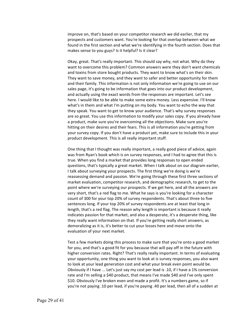improve on, that's based on your competitor research we did earlier, that my prospects and customers want. You're looking for that overlap between what we found in the first section and what we're identifying in the fourth section. Does that makes sense to you guys? Is it helpful? Is it clear?

Okay, great. That's really important. This should say why, not what. Why do they want to overcome this problem? Common answers were they don't want chemicals and toxins from store bought products. They want to know what's on their skin. They want to save money, and they want to safer and better opportunity for them and their family. This information is not only information we're going to use on our sales page, it's going to be information that goes into our product development, and actually using the exact words from the responses are important. Let's see here. I would like to be able to make some extra money. Less expensive. I'll know what's in them and what I'm putting on my body. You want to echo the way that they speak. You want to get to know your audience. That's why survey responses are so great. You use this information to modify your sales copy. If you already have a product, make sure you're overcoming all the objections. Make sure you're hitting on their desires and their fears. This is all information you're getting from your survey copy. If you don't have a product yet, make sure to include this in your product development. This is all really important stuff.

One thing that I thought was really important, a really good piece of advice, again was from Ryan's book which is on survey responses, and I had to agree that this is true. When you find a market that provides long responses to open ended questions, that's typically a great market. When I talk about on our diagram earlier, I talk about surveying your prospects. The first thing we're doing is we're reassessing demand and passion. We're going through these first three sections of market evaluation, competitor research, and demographic research, to get to the point where we're surveying our prospects. If we get here, and all the answers are very short, that's a red flag to me. What he says is you're looking for a character count of 300 for your top 20% of survey respondents. That's about three to five sentences long. If your top 20% of survey respondents are at least that long in length, that's a red flag. The reason why length is important is because it really indicates passion for that market, and also a desperate, it's a desperate thing, like they really want information on that. If you're getting really short answers, as demoralizing as it is, it's better to cut your losses here and move onto the evaluation of your next market.

Test a few markets doing this process to make sure that you're onto a good market for you, and that's a good fit for you because that will pay off in the future with higher conversion rates. Right? That's really really important. In terms of evaluating your opportunity, one thing you want to look at is survey responses, you also want to look at your lead generation cost and what your break even point would be. Obviously if I have ... Let's just say my cost per lead is .10, if I have a 1% conversion rate and I'm selling a \$40 product, that means I've made \$40 and I've only spent \$10. Obviously I've broken even and made a profit. It's a numbers game, so if you're not paying .10 per lead, if you're paying .40 per lead, then all of a sudden at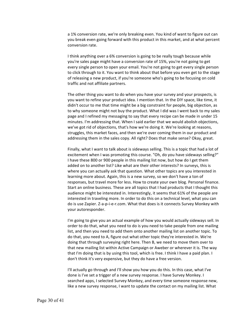a 1% conversion rate, we're only breaking even. You kind of want to figure out can you break even going forward with this product in this market, and at what percent conversion rate.

I think anything over a 6% conversion is going to be really tough because while you're sales page might have a conversion rate of 15%, you're not going to get every single person to open your email. You're not going to get every single person to click through to it. You want to think about that before you even get to the stage of releasing a new product, if you're someone who's going to be focusing on cold traffic and not affiliate partners.

The other thing you want to do when you have your survey and your prospects, is you want to refine your product idea. I mention that. In the DIY space, like time, it didn't occur to me that time might be a big constraint for people, big objection, as to why someone might not buy the product. What I did was I went back to my sales page and I refined my messaging to say that every recipe can be made in under 15 minutes. I'm addressing that. When I said earlier that we would abolish objections, we've got rid of objections, that's how we're doing it. We're looking at reasons, struggles, this market faces, and then we're over coming them in our product and addressing them in the sales copy. All right? Does that make sense? Okay, great.

Finally, what I want to talk about is sideways selling. This is a topic that had a lot of excitement when I was promoting this course. "Oh, do you have sideways selling?" I have these 800 or 900 people in this mailing list now, but how do I get them added on to another list? Like what are their other interests? In surveys, this is where you can actually ask that question. What other topics are you interested in learning more about. Again, this is a new survey, so we don't have a ton of responses, but travel more for less. How to create your own blog. Personal finance. Start an online business. These are all topics that I had products that I thought this audience might be interested in. Interestingly, it seems that 61% of the people are interested in traveling more. In order to do this on a technical level, what you can do is use Zapier. Z-a-p-i-e-r.com. What that does is it connects Survey Monkey with your autoresponder.

I'm going to give you an actual example of how you would actually sideways sell. In order to do that, what you need to do is you need to take people from one mailing list, and then you need to add them onto another mailing list on another topic. To do that, you need to A, figure out what other topic they're interested in. We're doing that through surveying right here. Then B, we need to move them over to that new mailing list within Active Campaign or Aweber or wherever it is. The way that I'm doing that is by using this tool, which is free. I think I have a paid plan. I don't think it's very expensive, but they do have a free version.

I'll actually go through and I'll show you how you do this. In this case, what I've done is I've set a trigger of a new survey response. I have Survey Monkey. I searched apps, I selected Survey Monkey, and every time someone response new, like a new survey response, I want to update the contact on my mailing list. What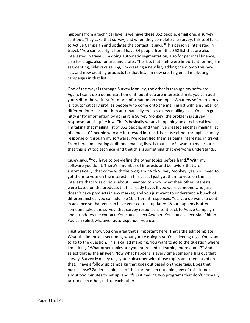happens from a technical level is we have these 852 people, email one, a survey sent out. They take that survey, and when they complete the survey, this tool talks to Active Campaign and updates the contact. It says, "This person's interested in travel." You can see right here I have 84 people from this 852 list that are also interested in travel. I'm doing automatic segmentation, also for personal finance, also for blogs, also for arts and crafts. The lists that I felt were important for me, I'm segmenting, sideways selling, I'm creating a new list, adding them onto this new list, and now creating products for that list. I'm now creating email marketing campaigns in that list.

One of the ways is through Survey Monkey, the other is through my software. Again, I can't do a demonstration of it, but if you are interested in it, you can add yourself to the wait list for more information on the topic. What my software does is it automatically profiles people who come onto the mailing list with a number of different interests and then automatically creates a new mailing lists. You can get nitty gritty information by doing it in Survey Monkey, the problem is survey response rate is quite low. That's basically what's happening on a technical level is I'm taking that mailing list of 852 people, and then I've created another mailing list of almost 100 people who are interested in travel, because either through a survey response or through my software, I've identified them as being interested in travel. From here I'm creating additional mailing lists. Is that clear? I want to make sure that this isn't too technical and that this is something that everyone understands.

Casey says, "You have to pre-define the other topics before hand." With my software you don't. There's a number of interests and behaviors that are automatically, that come with the program. With Survey Monkey, yes. You need to get them to vote on the interest. In this case, I just got them to vote on the interests that I was curious about. I wanted to know what their other interests were based on the products that I already have. If you were someone who just doesn't have products in any market, and you just want to understand a bunch of different niches, you can add like 10 different responses. Yes, you do want to do it in advance so that you can have your contact updated. What happens is after someone takes the survey, that survey response is sent back to Active Campaign and it updates the contact. You could select Aweber. You could select Mail Chimp. You can select whatever autoresponder you use.

I just want to show you one area that's important here. That's the edit template. What the important section is, what you're doing is you're selecting tags. You want to go to the question. This is called mapping. You want to go to the question where I'm asking, "What other topics are you interested in learning more about?" And select that as the answer. Now what happens is every time someone fills out that survey, Survey Monkey tags your subscriber with those topics and then based on that, I have a follow up campaign that goes out based on those tags. Does that make sense? Zapier is doing all of that for me. I'm not doing any of this. It took about two minutes to set up, and it's just making two programs that don't normally talk to each other, talk to each other.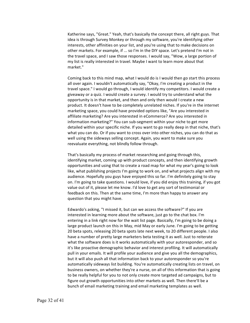Katherine says, "Great." Yeah, that's basically the concept there, all right guys. That idea is through Survey Monkey or through my software, you're identifying other interests, other affinities on your list, and you're using that to make decisions on other markets. For example, if ... so I'm in the DIY space. Let's pretend I'm not in the travel space, and I saw those responses. I would say, "Wow, a large portion of my list is really interested in travel. Maybe I want to learn more about that market."

Coming back to this mind map, what I would do is I would then go start this process all over again. I wouldn't automatically say, "Okay, I'm creating a product in the travel space." I would go through, I would identify my competitors. I would create a giveaway or a quiz. I would create a survey. I would try to understand what the opportunity is in that market, and then and only then would I create a new product. It doesn't have to be completely unrelated niches. If you're in the internet marketing space, you could have provided options like, "Are you interested in affiliate marketing? Are you interested in eCommerce? Are you interested in information marketing?" You can sub-segment within your niche to get more detailed within your specific niche. If you want to go really deep in that niche, that's what you can do. Or if you want to cross over into other niches, you can do that as well using the sideways selling concept. Again, you want to make sure you reevaluate everything, not blindly follow through.

That's basically my process of market researching and going through this, identifying market, coming up with product concepts, and then identifying growth opportunities and using that to create a road map for what my year's going to look like, what publishing projects I'm going to work on, and what projects align with my audience. Hopefully you guys have enjoyed this so far. I'm definitely going to stay on. I'm going to take questions. I would love, if you did enjoy this training, if you got value out of it, please let me know. I'd love to get any sort of testimonial or feedback on this. Then at the same time, I'm more than happy to answer any question that you might have.

Edwardo's asking, "I missed it, but can we access the software?" If you are interested in learning more about the software, just go to the chat box. I'm entering in a link right now for the wait list page. Basically, I'm going to be doing a large product launch on this in May, mid May or early June. I'm going to be getting 20 beta spots, releasing 20 beta spots late next week, to 20 different people. I also have a number of pretty large marketers beta testing it as well. Just to reiterate what the software does is it works automatically with your autoresponder, and so it's like proactive demographic behavior and interest profiling. It will automatically pull in your emails. It will profile your audience and give you all the demographics, but it will also push all that information back to your autoresponder so you're automatically sideways list building. You're automatically creating lists on travel, on business owners, on whether they're a nurse, on all of this information that is going to be really helpful for you to not only create more targeted ad campaigns, but to figure out growth opportunities into other markets as well. Then there'll be a bunch of email marketing training and email marketing templates as well.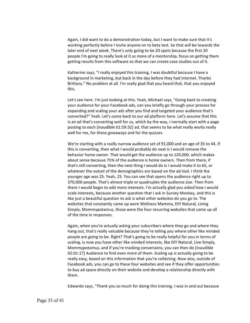Again, I did want to do a demonstration today, but I want to make sure that it's working perfectly before I invite anyone on to beta test. So that will be towards the later end of next week. There's only going to be 20 spots because the first 20 people I'm going to really look at it as more of a mentorship, focus on getting them getting results from this software so that we can create case studies out of it.

Katherine says, "I really enjoyed this training. I was doubtful because I have a background in marketing, but back in the day before they had internet. Thanks Brittany." No problem at all. I'm really glad that you heard that, that you enjoyed this.

Let's see here. I'm just looking at this. Yeah, Michael says, "Going back to creating your audience for your Facebook ads, can you briefly go through your process for expanding and scaling your ads after you find and targeted your audience that's converted?" Yeah. Let's come back to our ad platform here. Let's assume that this is an ad that's converting well for us, which by the way, I normally start with a page posting to each [inaudible 01:59:32] ad, that seems to be what really works really well for me, for these giveaways and for the quizzes.

We're starting with a really narrow audience set of 91,000 and an age of 35 to 44. If this is converting, then what I would probably do next is I would remove the behavior home owner. That would get the audience up to 120,000, which makes about sense because 75% of the audience is home owners. Then from there, if that's still converting, then the next thing I would do is I would make it to 65, or whatever the outset of the demographics are based on the ad tool. I think the younger age was 25. Yeah, 25. You can see that opens the audience right up to 370,000 people. That's almost triple or quadruples the audience size. Then from there I would begin to add more interests. I'm actually glad you asked how I would scale interests, because another question that I ask in Survey Monkey, and this is like just a beautiful question to ask is what other websites do you go to. The websites that constantly came up were Wellness Mamma, DIY Natural, Living Simply, Mommypotamus, those were the four recurring websites that came up all of the time in responses.

Again, when you're actually asking your subscribers where they go and where they hang out, that's really valuable because they're telling you where other like minded people are going to be. Right? That's going to be really helpful for you in terms of scaling, is now you have other like minded interests, like DIY Natural, Live Simply, Mommypotamus, and if you're tracking conversions, you can then do [inaudible 02:01:17] Audience to find even more of them. Scaling up is actually going to be really easy, based on this information that you're collecting. Now also, outside of Facebook ads, you can go to these four websites and see if they offer opportunities to buy ad space directly on their website and develop a relationship directly with them.

Edwardo says, "Thank you so much for doing this training. I was in and out because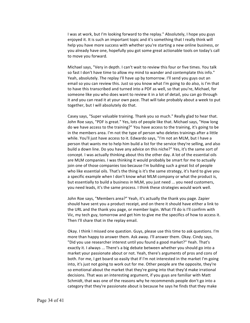I was at work, but I'm looking forward to the replay." Absolutely, I hope you guys enjoyed it. It is such an important topic and it's something that I really think will help you have more success with whether you're starting a new online business, or you already have one, hopefully you got some great actionable tools on today's call to move you forward.

Michael says, "Very in depth. I can't wait to review this four or five times. You talk so fast I don't have time to allow my mind to wander and contemplate this info." Yeah, absolutely. The replay I'll have up by tomorrow. I'll send you guys out an email so you can review this. Just so you know what I'm going to do also, is I'm that to have this transcribed and turned into a PDF as well, so that you're, Michael, for someone like you who does want to review it in a lot of detail, you can go through it and you can read it at your own pace. That will take probably about a week to put together, but I will absolutely do that.

Casey says, "Super valuable training. Thank you so much." Really glad to hear that. John Roe says, "PDF is great." Yes, lots of people like that. Michael says, "How long do we have access to the training?" You have access to the training, it's going to be in the members area. I'm not the type of person who deletes trainings after a little while. You'll just have access to it. Edwardo says, "I'm not an MLM, but I have a person that wants me to help him build a list for the service they're selling, and also build a down line. Do you have any advice on this niche?" Yes, it's the same sort of concept. I was actually thinking about this the other day. A lot of the essential oils are MLM companies. I was thinking it would probably be smart for me to actually join one of those companies too because I'm building such a great list of people who like essential oils. That's the thing is it's the same strategy, it's hard to give you a specific example when I don't know what MLM company or what the product is, but essentially to build a business in MLM, you just need ... you need customers, you need leads, it's the same process. I think these strategies would work well.

John Roe says, "Members area?" Yeah, it's actually the thank you page. Zapier should have sent you a product receipt, and on there it should have either a link to the URL and the thank you page, or member login. What I'll do is I'll confirm with Vic, my tech guy, tomorrow and get him to give me the specifics of how to access it. Then I'll share that in the replay email.

Okay. I think I missed one question. Guys, please use this time to ask questions. I'm more than happy to answer them. Ask away. I'll answer them. Okay. Cindy says, "Did you use researcher interest until you found a good market?" Yeah. That's exactly it. I always ... There's a big debate between whether you should go into a market your passionate about or not. Yeah, there's arguments of pros and cons of both. For me, I get board so easily that if I'm not interested in the market I'm going into, it's just not going to work out for me. Other people are the opposite, they're so emotional about the market that they're going into that they'd make irrational decisions. That was an interesting argument, if you guys are familiar with Matt Schmidt, that was one of the reasons why he recommends people don't go into a category that they're passionate about is because he says he finds that they make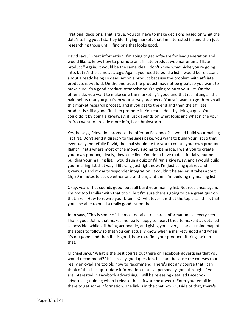irrational decisions. That is true, you still have to make decisions based on what the data's telling you. I start by identifying markets that I'm interested in, and then just researching those until I find one that looks good.

David says, "Great information. I'm going to get software for lead generation and would like to know how to promote an affiliate product webinar or an affiliate product." Again, it would be the same idea. I don't know what niche you're going into, but it's the same strategy. Again, you need to build a list. I would be reluctant about already being so dead set on a product because the problem with affiliate products is twofold. On the one side, the product may not be great, so you want to make sure it's a good product, otherwise you're going to burn your list. On the other side, you want to make sure the marketing's good and that it's hitting all the pain points that you got from your survey prospects. You still want to go through all this market research process, and if you get to the end and then the affiliate product is still a good fit, then promote it. You could do it by doing a quiz. You could do it by doing a giveaway, it just depends on what topic and what niche your in. You want to provide more info, I can brainstorm.

Yes, he says, "How do I promote the offer on Facebook?" I would build your mailing list first. Don't send it directly to the sales page, you want to build your list so that eventually, hopefully David, the goal should be for you to create your own product. Right? That's where most of the money's going to be made. I want you to create your own product, ideally, down the line. You don't have to do it initially, but be building your mailing list. I would run a quiz or I'd run a giveaway, and I would build your mailing list that way. I literally, just right now, I'm just using quizzes and giveaways and my autoresponder integration. It couldn't be easier. It takes about 15, 20 minutes to set up either one of them, and then I'm building my mailing list.

Okay, yeah. That sounds good, but still build your mailing list. Neuroscience, again, I'm not too familiar with that topic, but I'm sure there's going to be a great quiz on that, like, "How to rewire your brain." Or whatever it is that the topic is. I think that you'll be able to build a really good list on that.

John says, "This is some of the most detailed research information I've every seen. Thank you." John, that makes me really happy to hear. I tried to make it as detailed as possible, while still being actionable, and giving you a very clear cut mind map of the steps to follow so that you can actually know when a market's good and when it's not good, and then if it is good, how to refine your product offerings within that.

Michael says, "What is the best course out there on Facebook advertising that you would recommend?" It's a really good question. It's hard because the courses that I really enjoyed are too old now to recommend. There's not any course that I can think of that has up-to-date information that I've personally gone through. If you are interested in Facebook advertising, I will be releasing detailed Facebook advertising training when I release the software next week. Enter your email in there to get some information. The link is in the chat box. Outside of that, there's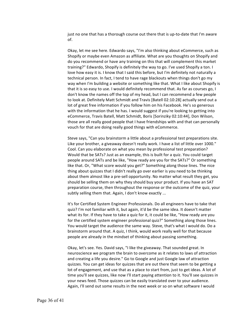just no one that has a thorough course out there that is up-to-date that I'm aware of.

Okay, let me see here. Edwardo says, "I'm also thinking about eCommerce, such as Shopify or maybe even Amazon as affiliate. What are you thoughts on Shopify and do you recommend or have any training on this that will complement this market training?" Edwardo, Shopify is definitely the way to go. I've used Shopify a ton. I love how easy it is. I know that I said this before, but I'm definitely not naturally a technical person. In fact, I tend to have rage blackouts when things don't go my way when I'm building a website or something like that. What I like about Shopify is that it is so easy to use. I would definitely recommend that. As far as courses go, I don't know the names off the top of my head, but I can recommend a few people to look at. Definitely Matt Schmidt and Travis [Batell 02:10:28] actually send out a lot of great free information if you follow him on his Facebook. He's so generous with the information that he has. I would suggest if you're looking to getting into eCommerce, Travis Batell, Matt Schmidt, Boris [Sorinziky 02:10:44], Don Wilson, those are all really good people that I have friendships with and that can personally vouch for that are doing really good things with eCommerce.

Steve says, "Can you brainstorm a little about a professional test preparations site. Like your brother, a giveaway doesn't really work. I have a list of little over 1000." Cool. Can you elaborate on what you mean by professional test preparation? Would that be SATs? Just as an example, this is built for a quiz. You could target people around SATs and be like, "How ready are you for the SATs?" Or something like that. Or, "What score would you get?" Something along those lines. The nice thing about quizzes that I didn't really go over earlier is you need to be thinking about them almost like a pre-sell opportunity. No matter what result they get, you should be selling them on why they should buy your product. If you have an SAT preparation course, then throughout the response or the outcome of the quiz, your subtly selling them that. Again, I don't know exactly ...

It's for Certified System Engineer Professionals. Do all engineers have to take that quiz? I'm not familiar with it, but again, it'd be the same idea. It doesn't matter what its for. If they have to take a quiz for it, it could be like, "How ready are you for the certified system engineer professional quiz?" Something along those lines. You would target the audience the same way. Steve, that's what I would do. Do a brainstorm around that. A quiz, I think, would work really well for that because people are already in the mindset of thinking about passing something.

Okay, let's see. Yes. David says, "I like the giveaway. That sounded great. In neuroscience we program the brain to overcome as it relates to laws of attraction and creating a life you desire." Go to Google and just Google law of attraction quizzes. You can get ideas for quizzes that are out there that seem to be getting a lot of engagement, and use that as a place to start from, just to get ideas. A lot of time you'll see quizzes, like now I'll start paying attention to it. You'll see quizzes in your news feed. Those quizzes can be easily translated over to your audience. Again, I'll send out some results in the next week or so on what software I would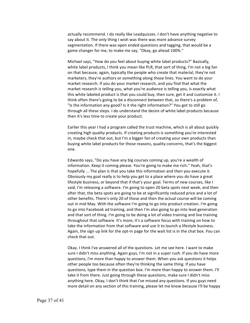actually recommend. I do really like Leadquizzes. I don't have anything negative to say about it. The only thing I wish was there was more advance survey segmentation. If there was open ended questions and tagging, that would be a game changer for me, to make me say, "Okay, go ahead 100%."

Michael says, "How do you feel about buying white label products?" Basically, white label products, I think you mean like PLR, that sort of thing, I'm not a big fan on that because, again, typically the people who create that material, they're not marketers, they're authors or something along those lines. You want to do your market research. If you do your market research, and you find that what the market research is telling you, what you're audience is telling you, is exactly what this white labeled product is that you could buy, then sure, get it and customize it. I think often there's going to be a disconnect between that, so there's a problem of, "Is the information any good? Is it the right information?" You got to still go through all these steps. I do understand the desire of white label products because then it's less time to create your product.

Earlier this year I had a program called the trust machine, which is all about quickly creating high quality products. If creating products is something you're interested in, maybe check that out, but I'm a bigger fan of creating your own products than buying white label products for those reasons, quality concerns, that's the biggest one.

Edwardo says, "Do you have any big courses coming up, you're a wealth of information. Keep it coming please. You're going to make me rich." Yeah, that's hopefully ... The plan is that you take this information and then you execute it. Obviously my goal really is to help you get to a place where you do have a great lifestyle business, or beyond that if that's your goal. Terms of new courses, like I said, I'm releasing a software. I'm going to open 20 beta spots next week, and then after that, the beta spots are going to be at significantly reduced price and a lot of other benefits. There's only 20 of those and then the actual course will be coming out in mid May. With the software I'm going to go into product creation. I'm going to go into Facebook ad training, and then I'm also going to go into lead generation and that sort of thing. I'm going to be doing a lot of video training and live training throughout that software. It's more, it's a software focus with training on how to take the information from that software and use it to launch a lifestyle business. Again, the sign up link for the opt-in page for the wait list is in the chat box. You can check that out.

Okay. I think I've answered all of the questions. Let me see here. I want to make sure I didn't miss anything. Again guys, I'm not in a super rush. If you do have more questions, I'm more than happy to answer them. When you ask questions it helps other people too because often they're thinking the same thing. If you have questions, type them in the question box. I'm more than happy to answer them. I'll take it from there. Just going through these questions, make sure I didn't miss anything here. Okay, I don't think that I've missed any questions. If you guys need more detail on any section of this training, please let me know because I'll be happy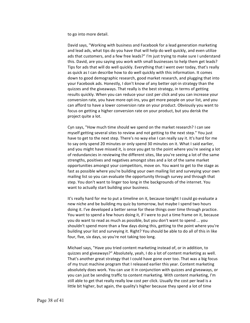to go into more detail.

David says, "Working with business and Facebook for a lead generation marketing and lead ads, what tips do you have that will help do well quickly, and even utilize ads that customers, and a few free leads?" I'm just trying to make sure I understand this. David, are you saying you work with small businesses to help them get leads? Tips for ads that will do well quickly. Everything that I went over today, that's really as quick as I can describe how to do well quickly with this information. It comes down to good demographic research, good market research, and plugging that into your Facebook ads. Honestly, I don't know of any better opt-in strategy than the quizzes and the giveaways. That really is the best strategy, in terms of getting results quickly. When you can reduce your cost per click and you can increase your conversion rate, you have more opt-ins, you get more people on your list, and you can afford to have a lower conversion rate on your product. Obviously you want to focus on getting a higher conversion rate on your product, but you derisk the project quite a lot.

Cyn says, "How much time should we spend on the market research? I can see myself getting several sites to review and not getting to the next step." You just have to get to the next step. There's no way else I can really say it. It's hard for me to say only spend 20 minutes or only spend 30 minutes on it. What I said earlier, and you might have missed it, is once you get to the point where you're seeing a lot of redundancies in reviewing the different sites, like you're seeing a lot of the same strengths, positives and negatives amongst sites and a lot of the same market opportunities amongst your competitors, move on. You want to get to the stage as fast as possible where you're building your own mailing list and surveying your own mailing list so you can evaluate the opportunity through survey and through that step. You don't want to linger too long in the backgrounds of the internet. You want to actually start building your business.

It's really hard for me to put a timeline on it, because tonight I could go evaluate a new niche and be building my quiz by tomorrow, but maybe I spend two hours doing it. I've developed a better sense for these things over time through practice. You want to spend a few hours doing it, if I were to put a time frame on it, because you do want to read as much as possible, but you don't want to spend ... you shouldn't spend more than a few days doing this, getting to the point where you're building your list and surveying it. Right? You should be able to do all of this in like four, five, six days, so you're not taking too long.

Michael says, "Have you tried content marketing instead of, or in addition, to quizzes and giveaways?" Absolutely, yeah, I do a lot of content marketing as well. That's another great strategy that I could have gone over too. That was a big focus of my trust machine program that I released earlier this year. Content marketing absolutely does work. You can use it in conjunction with quizzes and giveaways, or you can just be sending traffic to content marketing. With content marketing, I'm still able to get that really really low cost per click. Usually the cost per lead is a little bit higher, but again, the quality's higher because they spend a lot of time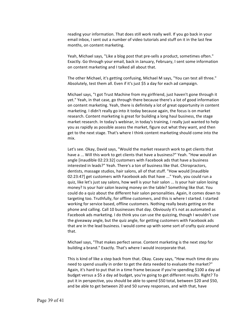reading your information. That does still work really well. If you go back in your email inbox, I sent out a number of video tutorials and stuff on it in the last few months, on content marketing.

Yeah, Michael says, "Like a blog post that pre-sells a product, sometimes often." Exactly. Go through your email, back in January, February, I sent some information on content marketing and I talked all about that.

The other Michael, it's getting confusing, Michael M says, "You can test all three." Absolutely, test them all. Even if it's just \$5 a day for each ad campaign.

Michael says, "I got Trust Machine from my girlfriend, just haven't gone through it yet." Yeah, in that case, go through there because there's a lot of good information on content marketing. Yeah, there is definitely a lot of great opportunity in content marketing. I didn't really go into it today because again, the focus is on market research. Content marketing is great for building a long haul business, the stage market research. In today's webinar, in today's training, I really just wanted to help you as rapidly as possible assess the market, figure out what they want, and then get to the next stage. That's where I think content marketing should come into the mix.

Let's see. Okay, David says, "Would the market research work to get clients that have a ... Will this work to get clients that have a business?" Yeah. "How would an angle [inaudible 02:23:32] customers with Facebook ads that have a business interested in leads?" Yeah. There's a ton of business like that. Chiropractors, dentists, massage studios, hair salons, all of that stuff. "How would [inaudible 02:23:47] get customers with Facebook ads that have ..." Yeah, you could run a quiz, like let's just say salons, how well is your hair salon ... Is your hair salon losing money? Is your hair salon leaving money on the table? Something like that. You could do a quiz about the different hair salon personalities. Again, it comes down to targeting too. Truthfully, for offline customers, and this is where I started. I started working for service based, offline customers. Nothing really beats getting on the phone and calling. Call 10 businesses that day. Obviously it's not as automated as Facebook ads marketing. I do think you can use the quizzing, though I wouldn't use the giveaway angle, but the quiz angle, for getting customers with Facebook ads that are in the lead business. I would come up with some sort of crafty quiz around that.

Michael says, "That makes perfect sense. Content marketing is the next step for building a brand." Exactly. That's where I would incorporate that.

This is kind of like a step back from that. Okay. Casey says, "How much time do you need to spend usually in order to get the data needed to evaluate the market?" Again, it's hard to put that in a time frame because if you're spending \$100 a day ad budget versus a \$5 a day ad budget, you're going to get different results. Right? To put it in perspective, you should be able to spend \$50 total, between \$20 and \$50, and be able to get between 20 and 50 survey responses, and with that, have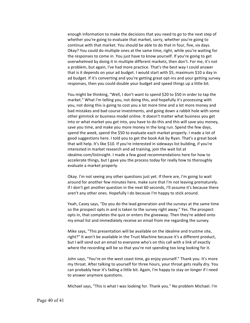enough information to make the decisions that you need to go to the next step of whether you're going to evaluate that market, sorry, whether you're going to continue with that market. You should be able to do that in four, five, six days. Okay? You could do multiple ones at the same time, right, while you're waiting for the responses to come in. You just have to know yourself. If you're going to get overwhelmed by doing it in multiple different markets, then don't. For me, it's not a problem, but again, I've had more practice. That's the best way I could answer that is it depends on your ad budget. I would start with \$5, maximum \$10 a day in ad budget. If it's converting and you're getting great opt-ins and your getting survey responses, then you could double your budget and speed things up a little bit.

You might be thinking, "Well, I don't want to spend \$20 to \$50 in order to tap the market." What I'm telling you, not doing this, and hopefully it's processing with you, not doing this is going to cost you a lot more time and a lot more money and bad mistakes and bad course investments, and going down a rabbit hole with some other gimmick or business model online. It doesn't matter what business you get into or what market you get into, you have to do this and this will save you money, save you time, and make you more money in the long run. Spend the few days, spend the week, spend the \$50 to evaluate each market properly. I made a lot of good suggestions here. I told you to get the book Ask by Ryan. That's a great book that will help. It's like \$10. If you're interested in sideways list building, if you're interested in market research and ad training, join the wait list at idealme.com/listinsight. I made a few good recommendations here for how to accelerate things, but I gave you the process today for really how to thoroughly evaluate a market properly.

Okay. I'm not seeing any other questions just yet. If there are, I'm going to wait around for another few minutes here, make sure that I'm not leaving prematurely. If I don't get another question in the next 60 seconds, I'll assume it's because there aren't any other ones. Hopefully I do because I'm happy to stick around.

Yeah, Casey says, "Do you do the lead generation and the surveys at the same time so the prospect opts in and is taken to the survey right away." Yes. The prospect opts in, that completes the quiz or enters the giveaway. Then they're added onto my email list and immediately receive an email from me regarding the survey.

Mike says, "This presentation will be available on the idealme and trustme site, right?" It won't be available in the Trust Machine because it's a different product, but I will send out an email to everyone who's on this call with a link of exactly where the recording will be so that you're not spending too long looking for it.

John says, "You're on the west coast time, go enjoy yourself." Thank you. It's more my throat. After talking to yourself for three hours, your throat gets really dry. You can probably hear it's fading a little bit. Again, I'm happy to stay on longer if I need to answer anymore questions.

Michael says, "This is what I was looking for. Thank you." No problem Michael. I'm